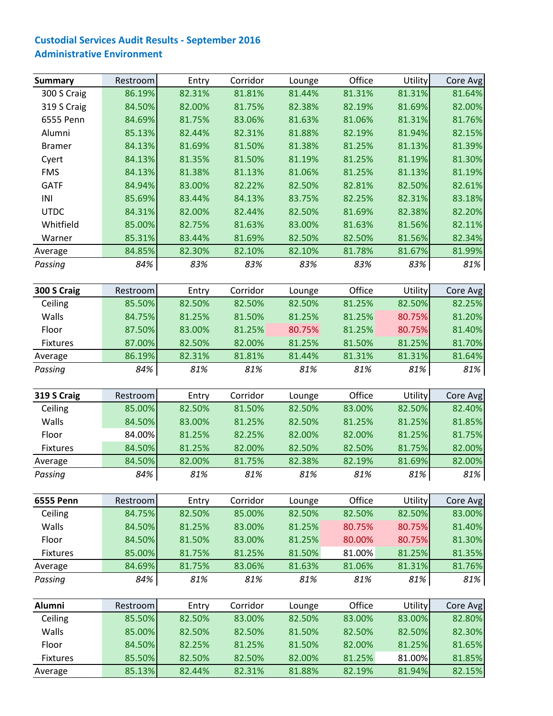## **Custodial Services Audit Results ‐ September 2016 Administrative Environment**

| <b>Summary</b>   | Restroom | Entry  | Corridor | Lounge | Office | Utility | Core Avg |
|------------------|----------|--------|----------|--------|--------|---------|----------|
| 300 S Craig      | 86.19%   | 82.31% | 81.81%   | 81.44% | 81.31% | 81.31%  | 81.64%   |
| 319 S Craig      | 84.50%   | 82.00% | 81.75%   | 82.38% | 82.19% | 81.69%  | 82.00%   |
| 6555 Penn        | 84.69%   | 81.75% | 83.06%   | 81.63% | 81.06% | 81.31%  | 81.76%   |
| Alumni           | 85.13%   | 82.44% | 82.31%   | 81.88% | 82.19% | 81.94%  | 82.15%   |
| <b>Bramer</b>    | 84.13%   | 81.69% | 81.50%   | 81.38% | 81.25% | 81.13%  | 81.39%   |
| Cyert            | 84.13%   | 81.35% | 81.50%   | 81.19% | 81.25% | 81.19%  | 81.30%   |
| <b>FMS</b>       | 84.13%   | 81.38% | 81.13%   | 81.06% | 81.25% | 81.13%  | 81.19%   |
| <b>GATF</b>      | 84.94%   | 83.00% | 82.22%   | 82.50% | 82.81% | 82.50%  | 82.61%   |
| INI              | 85.69%   | 83.44% | 84.13%   | 83.75% | 82.25% | 82.31%  | 83.18%   |
| <b>UTDC</b>      | 84.31%   | 82.00% | 82.44%   | 82.50% | 81.69% | 82.38%  | 82.20%   |
| Whitfield        | 85.00%   | 82.75% | 81.63%   | 83.00% | 81.63% | 81.56%  | 82.11%   |
| Warner           | 85.31%   | 83.44% | 81.69%   | 82.50% | 82.50% | 81.56%  | 82.34%   |
| Average          | 84.85%   | 82.30% | 82.10%   | 82.10% | 81.78% | 81.67%  | 81.99%   |
| Passing          | 84%      | 83%    | 83%      | 83%    | 83%    | 83%     | 81%      |
|                  |          |        |          |        |        |         |          |
| 300 S Craig      | Restroom | Entry  | Corridor | Lounge | Office | Utility | Core Avg |
| Ceiling          | 85.50%   | 82.50% | 82.50%   | 82.50% | 81.25% | 82.50%  | 82.25%   |
| Walls            | 84.75%   | 81.25% | 81.50%   | 81.25% | 81.25% | 80.75%  | 81.20%   |
| Floor            | 87.50%   | 83.00% | 81.25%   | 80.75% | 81.25% | 80.75%  | 81.40%   |
| <b>Fixtures</b>  | 87.00%   | 82.50% | 82.00%   | 81.25% | 81.50% | 81.25%  | 81.70%   |
| Average          | 86.19%   | 82.31% | 81.81%   | 81.44% | 81.31% | 81.31%  | 81.64%   |
| Passing          | 84%      | 81%    | 81%      | 81%    | 81%    | 81%     | 81%      |
|                  |          |        |          |        |        |         |          |
| 319 S Craig      | Restroom | Entry  | Corridor | Lounge | Office | Utility | Core Avg |
| Ceiling          | 85.00%   | 82.50% | 81.50%   | 82.50% | 83.00% | 82.50%  | 82.40%   |
| Walls            | 84.50%   | 83.00% | 81.25%   | 82.50% | 81.25% | 81.25%  | 81.85%   |
| Floor            | 84.00%   | 81.25% | 82.25%   | 82.00% | 82.00% | 81.25%  | 81.75%   |
| <b>Fixtures</b>  | 84.50%   | 81.25% | 82.00%   | 82.50% | 82.50% | 81.75%  | 82.00%   |
| Average          | 84.50%   | 82.00% | 81.75%   | 82.38% | 82.19% | 81.69%  | 82.00%   |
| Passing          | 84%      | 81%    | 81%      | 81%    | 81%    | 81%     | 81%      |
|                  |          |        |          |        |        |         |          |
| <b>6555 Penn</b> | Restroom | Entry  | Corridor | Lounge | Office | Utility | Core Avg |
| Ceiling          | 84.75%   | 82.50% | 85.00%   | 82.50% | 82.50% | 82.50%  | 83.00%   |
| Walls            | 84.50%   | 81.25% | 83.00%   | 81.25% | 80.75% | 80.75%  | 81.40%   |
| Floor            | 84.50%   | 81.50% | 83.00%   | 81.25% | 80.00% | 80.75%  | 81.30%   |
| Fixtures         | 85.00%   | 81.75% | 81.25%   | 81.50% | 81.00% | 81.25%  | 81.35%   |
| Average          | 84.69%   | 81.75% | 83.06%   | 81.63% | 81.06% | 81.31%  | 81.76%   |
| Passing          | 84%      | 81%    | 81%      | 81%    | 81%    | 81%     | 81%      |
|                  |          |        |          |        |        |         |          |
| Alumni           | Restroom | Entry  | Corridor | Lounge | Office | Utility | Core Avg |
| Ceiling          | 85.50%   | 82.50% | 83.00%   | 82.50% | 83.00% | 83.00%  | 82.80%   |
| Walls            | 85.00%   | 82.50% | 82.50%   | 81.50% | 82.50% | 82.50%  | 82.30%   |
| Floor            | 84.50%   | 82.25% | 81.25%   | 81.50% | 82.00% | 81.25%  | 81.65%   |
| Fixtures         | 85.50%   | 82.50% | 82.50%   | 82.00% | 81.25% | 81.00%  | 81.85%   |
| Average          | 85.13%   | 82.44% | 82.31%   | 81.88% | 82.19% | 81.94%  | 82.15%   |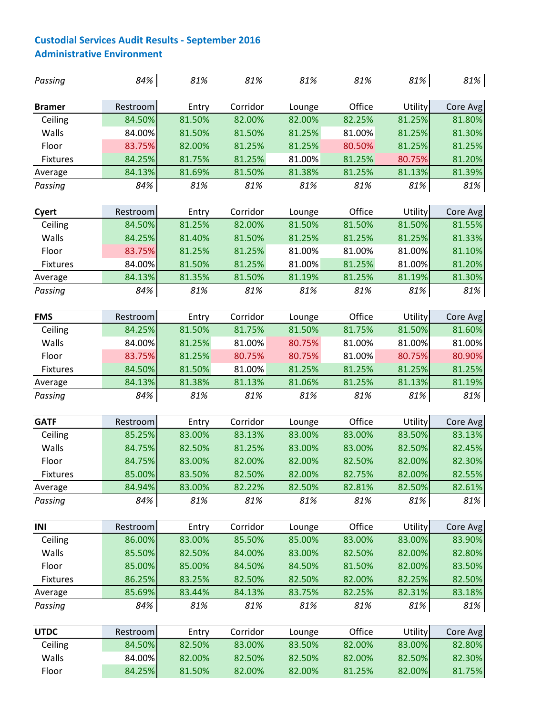## **Custodial Services Audit Results ‐ September 2016 Administrative Environment**

| Passing         | 84%              | 81%    | 81%      | 81%    | 81%    | 81%              | 81%              |
|-----------------|------------------|--------|----------|--------|--------|------------------|------------------|
| <b>Bramer</b>   | Restroom         | Entry  | Corridor | Lounge | Office | Utility          | Core Avg         |
| Ceiling         | 84.50%           | 81.50% | 82.00%   | 82.00% | 82.25% | 81.25%           | 81.80%           |
| Walls           | 84.00%           | 81.50% | 81.50%   | 81.25% | 81.00% | 81.25%           | 81.30%           |
| Floor           | 83.75%           | 82.00% | 81.25%   | 81.25% | 80.50% | 81.25%           | 81.25%           |
| <b>Fixtures</b> | 84.25%           | 81.75% | 81.25%   | 81.00% | 81.25% | 80.75%           | 81.20%           |
| Average         | 84.13%           | 81.69% | 81.50%   | 81.38% | 81.25% | 81.13%           | 81.39%           |
| Passing         | 84%              | 81%    | 81%      | 81%    | 81%    | 81%              | 81%              |
| Cyert           | Restroom         | Entry  | Corridor | Lounge | Office | Utility          | Core Avg         |
| Ceiling         | 84.50%           | 81.25% | 82.00%   | 81.50% | 81.50% | 81.50%           | 81.55%           |
| Walls           | 84.25%           | 81.40% | 81.50%   | 81.25% | 81.25% | 81.25%           | 81.33%           |
| Floor           | 83.75%           | 81.25% | 81.25%   | 81.00% | 81.00% | 81.00%           | 81.10%           |
| <b>Fixtures</b> | 84.00%           | 81.50% | 81.25%   | 81.00% | 81.25% | 81.00%           | 81.20%           |
| Average         | 84.13%           | 81.35% | 81.50%   | 81.19% | 81.25% | 81.19%           | 81.30%           |
| Passing         | 84%              | 81%    | 81%      | 81%    | 81%    | 81%              | 81%              |
| <b>FMS</b>      | Restroom         | Entry  | Corridor | Lounge | Office | Utility          | Core Avg         |
| Ceiling         | 84.25%           | 81.50% | 81.75%   | 81.50% | 81.75% | 81.50%           | 81.60%           |
| Walls           | 84.00%           | 81.25% | 81.00%   | 80.75% | 81.00% | 81.00%           | 81.00%           |
| Floor           | 83.75%           | 81.25% | 80.75%   | 80.75% | 81.00% | 80.75%           | 80.90%           |
| <b>Fixtures</b> | 84.50%           | 81.50% | 81.00%   | 81.25% | 81.25% | 81.25%           | 81.25%           |
| Average         | 84.13%           | 81.38% | 81.13%   | 81.06% | 81.25% | 81.13%           | 81.19%           |
| Passing         | 84%              | 81%    | 81%      | 81%    | 81%    | 81%              | 81%              |
| <b>GATF</b>     | Restroom         | Entry  | Corridor | Lounge | Office | Utility          | Core Avg         |
| Ceiling         | 85.25%           | 83.00% | 83.13%   | 83.00% | 83.00% | 83.50%           | 83.13%           |
| Walls           | 84.75%           | 82.50% | 81.25%   | 83.00% | 83.00% | 82.50%           | 82.45%           |
| Floor           | 84.75%           | 83.00% | 82.00%   | 82.00% | 82.50% | 82.00%           | 82.30%           |
| Fixtures        | 85.00%           | 83.50% | 82.50%   | 82.00% | 82.75% | 82.00%           | 82.55%           |
| Average         | 84.94%           | 83.00% | 82.22%   | 82.50% | 82.81% | 82.50%           | 82.61%           |
| Passing         | 84%              | 81%    | 81%      | 81%    | 81%    | 81%              | 81%              |
| INI             | Restroom         | Entry  | Corridor | Lounge | Office | Utility          | Core Avg         |
| Ceiling         | 86.00%           | 83.00% | 85.50%   | 85.00% | 83.00% | 83.00%           | 83.90%           |
| Walls           | 85.50%           | 82.50% | 84.00%   | 83.00% | 82.50% | 82.00%           | 82.80%           |
| Floor           | 85.00%           | 85.00% | 84.50%   | 84.50% | 81.50% | 82.00%           | 83.50%           |
| Fixtures        | 86.25%           | 83.25% | 82.50%   | 82.50% | 82.00% | 82.25%           | 82.50%           |
| Average         | 85.69%           | 83.44% | 84.13%   | 83.75% | 82.25% | 82.31%           | 83.18%           |
| Passing         | 84%              | 81%    | 81%      | 81%    | 81%    | 81%              | 81%              |
| <b>UTDC</b>     | Restroom         | Entry  | Corridor | Lounge | Office | Utility          | Core Avg         |
| Ceiling         | 84.50%           | 82.50% | 83.00%   | 83.50% | 82.00% | 83.00%           | 82.80%           |
|                 |                  |        |          |        |        |                  |                  |
| Walls<br>Floor  | 84.00%<br>84.25% | 82.00% | 82.50%   | 82.50% | 82.00% | 82.50%<br>82.00% | 82.30%<br>81.75% |